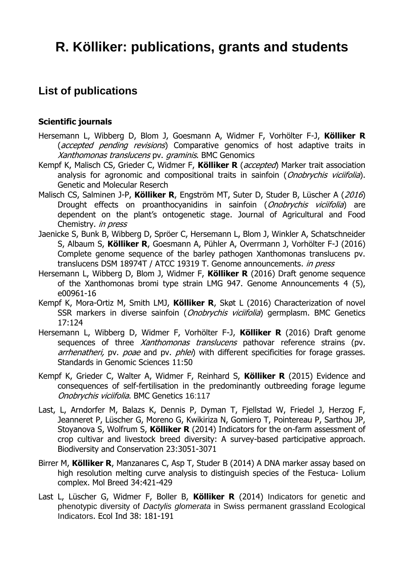# **R. Kölliker: publications, grants and students**

# **List of publications**

#### **Scientific journals**

- Hersemann L, Wibberg D, Blom J, Goesmann A, Widmer F, Vorhölter F-J, **Kölliker R** (*accepted pending revisions*) Comparative genomics of host adaptive traits in Xanthomonas translucens pv. graminis. BMC Genomics
- Kempf K, Malisch CS, Grieder C, Widmer F, **Kölliker R** (accepted) Marker trait association analysis for agronomic and compositional traits in sainfoin (*Onobrychis viciifolia*). Genetic and Molecular Reserch
- Malisch CS, Salminen J-P, **Kölliker R**, Engström MT, Suter D, Studer B, Lüscher A (2016) Drought effects on proanthocyanidins in sainfoin (Onobrychis viciifolia) are dependent on the plant's ontogenetic stage. Journal of Agricultural and Food Chemistry. in press
- Jaenicke S, Bunk B, Wibberg D, Spröer C, Hersemann L, Blom J, Winkler A, Schatschneider S, Albaum S, **Kölliker R**, Goesmann A, Pühler A, Overrmann J, Vorhölter F-J (2016) Complete genome sequence of the barley pathogen Xanthomonas translucens pv. translucens DSM 18974T / ATCC 19319 T. Genome announcements. in press
- Hersemann L, Wibberg D, Blom J, Widmer F, **Kölliker R** (2016) Draft genome sequence of the Xanthomonas bromi type strain LMG 947. Genome Announcements 4 (5), e00961-16
- Kempf K, Mora-Ortiz M, Smith LMJ, **Kölliker R**, Skøt L (2016) Characterization of novel SSR markers in diverse sainfoin (*Onobrychis viciifolia*) germplasm. BMC Genetics 17:124
- Hersemann L, Wibberg D, Widmer F, Vorhölter F-J, **Kölliker R** (2016) Draft genome sequences of three Xanthomonas translucens pathovar reference strains (pv. arrhenatheri, pv. poae and pv. phlei) with different specificities for forage grasses. Standards in Genomic Sciences 11:50
- Kempf K, Grieder C, Walter A, Widmer F, Reinhard S, **Kölliker R** (2015) Evidence and consequences of self-fertilisation in the predominantly outbreeding forage legume Onobrychis viciifolia. BMC Genetics 16:117
- Last, L, Arndorfer M, Balazs K, Dennis P, Dyman T, Fjellstad W, Friedel J, Herzog F, Jeanneret P, Lüscher G, Moreno G, Kwikiriza N, Gomiero T, Pointereau P, Sarthou JP, Stoyanova S, Wolfrum S, **Kölliker R** (2014) Indicators for the on-farm assessment of crop cultivar and livestock breed diversity: A survey-based participative approach. Biodiversity and Conservation 23:3051-3071
- Birrer M, **Kölliker R**, Manzanares C, Asp T, Studer B (2014) A DNA marker assay based on high resolution melting curve analysis to distinguish species of the Festuca- Lolium complex. Mol Breed 34:421-429
- Last L, Lüscher G, Widmer F, Boller B, **Kölliker R** (2014) Indicators for genetic and phenotypic diversity of *Dactylis glomerata* in Swiss permanent grassland Ecological Indicators. Ecol Ind 38: 181-191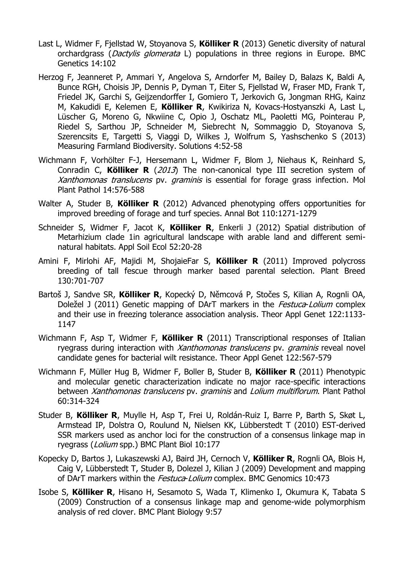- Last L, Widmer F, Fjellstad W, Stoyanova S, **Kölliker R** (2013) Genetic diversity of natural orchardgrass (*Dactylis glomerata* L) populations in three regions in Europe. BMC Genetics 14:102
- Herzog F, Jeanneret P, Ammari Y, Angelova S, Arndorfer M, Bailey D, Balazs K, Baldi A, Bunce RGH, Choisis JP, Dennis P, Dyman T, Eiter S, Fjellstad W, Fraser MD, Frank T, Friedel JK, Garchi S, Geijzendorffer I, Gomiero T, Jerkovich G, Jongman RHG, Kainz M, Kakudidi E, Kelemen E, **Kölliker R**, Kwikiriza N, Kovacs-Hostyanszki A, Last L, Lüscher G, Moreno G, Nkwiine C, Opio J, Oschatz ML, Paoletti MG, Pointerau P, Riedel S, Sarthou JP, Schneider M, Siebrecht N, Sommaggio D, Stoyanova S, Szerencsits E, Targetti S, Viaggi D, Wilkes J, Wolfrum S, Yashschenko S (2013) Measuring Farmland Biodiversity. Solutions 4:52-58
- Wichmann F, Vorhölter F-J, Hersemann L, Widmer F, Blom J, Niehaus K, Reinhard S, Conradin C, **Kölliker R** (2013) The non-canonical type III secretion system of Xanthomonas translucens pv. graminis is essential for forage grass infection. Mol Plant Pathol 14:576-588
- Walter A, Studer B, **Kölliker R** (2012) Advanced phenotyping offers opportunities for improved breeding of forage and turf species. Annal Bot 110:1271-1279
- Schneider S, Widmer F, Jacot K, **Kölliker R**, Enkerli J (2012) Spatial distribution of Metarhizium clade 1in agricultural landscape with arable land and different seminatural habitats. Appl Soil Ecol 52:20-28
- Amini F, Mirlohi AF, Majidi M, ShojaieFar S, **Kölliker R** (2011) Improved polycross breeding of tall fescue through marker based parental selection. Plant Breed 130:701-707
- Bartoš J, Sandve SR, **Kölliker R**, Kopecký D, Němcová P, Stočes S, Kilian A, Rognli OA, Doležel J (2011) Genetic mapping of DArT markers in the *Festuca-Lolium* complex and their use in freezing tolerance association analysis. Theor Appl Genet 122:1133- 1147
- Wichmann F, Asp T, Widmer F, **Kölliker R** (2011) Transcriptional responses of Italian ryegrass during interaction with Xanthomonas translucens pv. graminis reveal novel candidate genes for bacterial wilt resistance. Theor Appl Genet 122:567-579
- Wichmann F, Müller Hug B, Widmer F, Boller B, Studer B, **Kölliker R** (2011) Phenotypic and molecular genetic characterization indicate no major race-specific interactions between Xanthomonas translucens pv. graminis and Lolium multiflorum. Plant Pathol 60:314-324
- Studer B, **Kölliker R**, Muylle H, Asp T, Frei U, Roldán-Ruiz I, Barre P, Barth S, Skøt L, Armstead IP, Dolstra O, Roulund N, Nielsen KK, Lübberstedt T (2010) EST-derived SSR markers used as anchor loci for the construction of a consensus linkage map in ryegrass (Lolium spp.) BMC Plant Biol 10:177
- Kopecky D, Bartos J, Lukaszewski AJ, Baird JH, Cernoch V, **Kölliker R**, Rognli OA, Blois H, Caig V, Lübberstedt T, Studer B, Dolezel J, Kilian J (2009) Development and mapping of DArT markers within the Festuca-Lolium complex. BMC Genomics 10:473
- Isobe S, **Kölliker R**, Hisano H, Sesamoto S, Wada T, Klimenko I, Okumura K, Tabata S (2009) Construction of a consensus linkage map and genome-wide polymorphism analysis of red clover. BMC Plant Biology 9:57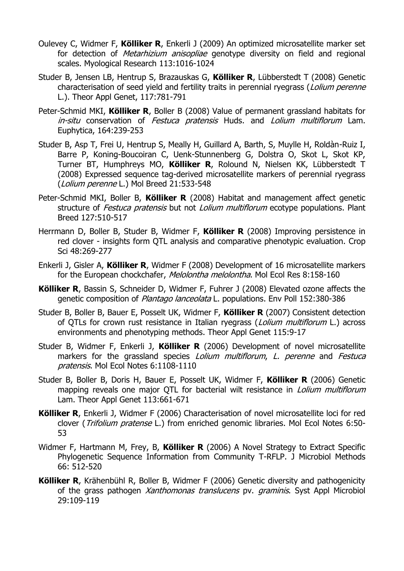- Oulevey C, Widmer F, **Kölliker R**, Enkerli J (2009) An optimized microsatellite marker set for detection of *Metarhizium anisopliae* genotype diversity on field and regional scales. Myological Research 113:1016-1024
- Studer B, Jensen LB, Hentrup S, Brazauskas G, **Kölliker R**, Lübberstedt T (2008) Genetic characterisation of seed yield and fertility traits in perennial ryegrass (*Lolium perenne* L.). Theor Appl Genet, 117:781-791
- Peter-Schmid MKI, **Kölliker R**, Boller B (2008) Value of permanent grassland habitats for in-situ conservation of Festuca pratensis Huds. and Lolium multiflorum Lam. Euphytica, 164:239-253
- Studer B, Asp T, Frei U, Hentrup S, Meally H, Guillard A, Barth, S, Muylle H, Roldàn-Ruiz I, Barre P, Koning-Boucoiran C, Uenk-Stunnenberg G, Dolstra O, Skot L, Skot KP, Turner BT, Humphreys MO, **Kölliker R**, Rolound N, Nielsen KK, Lübberstedt T (2008) Expressed sequence tag-derived microsatellite markers of perennial ryegrass (Lolium perenne L.) Mol Breed 21:533-548
- Peter-Schmid MKI, Boller B, **Kölliker R** (2008) Habitat and management affect genetic structure of Festuca pratensis but not Lolium multiflorum ecotype populations. Plant Breed 127:510-517
- Herrmann D, Boller B, Studer B, Widmer F, **Kölliker R** (2008) Improving persistence in red clover - insights form QTL analysis and comparative phenotypic evaluation. Crop Sci 48:269-277
- Enkerli J, Gisler A, **Kölliker R**, Widmer F (2008) Development of 16 microsatellite markers for the European chockchafer, Melolontha melolontha. Mol Ecol Res 8:158-160
- **Kölliker R**, Bassin S, Schneider D, Widmer F, Fuhrer J (2008) Elevated ozone affects the genetic composition of Plantago lanceolata L. populations. Env Poll 152:380-386
- Studer B, Boller B, Bauer E, Posselt UK, Widmer F, **Kölliker R** (2007) Consistent detection of QTLs for crown rust resistance in Italian ryegrass (*Lolium multiflorum* L.) across environments and phenotyping methods. Theor Appl Genet 115:9-17
- Studer B, Widmer F, Enkerli J, **Kölliker R** (2006) Development of novel microsatellite markers for the grassland species *Lolium multiflorum*, L. perenne and Festuca pratensis. Mol Ecol Notes 6:1108-1110
- Studer B, Boller B, Doris H, Bauer E, Posselt UK, Widmer F, **Kölliker R** (2006) Genetic mapping reveals one major QTL for bacterial wilt resistance in *Lolium multiflorum* Lam. Theor Appl Genet 113:661-671
- **Kölliker R**, Enkerli J, Widmer F (2006) Characterisation of novel microsatellite loci for red clover (Trifolium pratense L.) from enriched genomic libraries. Mol Ecol Notes 6:50- 53
- Widmer F, Hartmann M, Frey, B, **Kölliker R** (2006) A Novel Strategy to Extract Specific Phylogenetic Sequence Information from Community T-RFLP. J Microbiol Methods 66: 512-520
- **Kölliker R**, Krähenbühl R, Boller B, Widmer F (2006) Genetic diversity and pathogenicity of the grass pathogen *Xanthomonas translucens* pv. *graminis*. Syst Appl Microbiol 29:109-119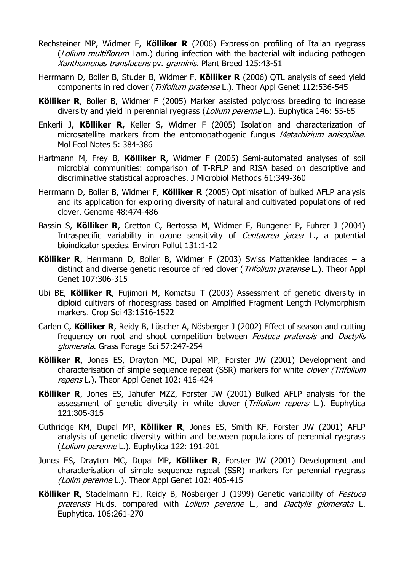- Rechsteiner MP, Widmer F, **Kölliker R** (2006) Expression profiling of Italian ryegrass (*Lolium multiflorum* Lam.) during infection with the bacterial wilt inducing pathogen Xanthomonas translucens pv. graminis. Plant Breed 125:43-51
- Herrmann D, Boller B, Studer B, Widmer F, **Kölliker R** (2006) QTL analysis of seed yield components in red clover (*Trifolium pratense* L.). Theor Appl Genet 112:536-545
- **Kölliker R**, Boller B, Widmer F (2005) Marker assisted polycross breeding to increase diversity and yield in perennial ryegrass (Lolium perenne L.). Euphytica 146: 55-65
- Enkerli J, **Kölliker R**, Keller S, Widmer F (2005) Isolation and characterization of microsatellite markers from the entomopathogenic fungus *Metarhizium anisopliae*. Mol Ecol Notes 5: 384-386
- Hartmann M, Frey B, **Kölliker R**, Widmer F (2005) Semi-automated analyses of soil microbial communities: comparison of T-RFLP and RISA based on descriptive and discriminative statistical approaches. J Microbiol Methods 61:349-360
- Herrmann D, Boller B, Widmer F, **Kölliker R** (2005) Optimisation of bulked AFLP analysis and its application for exploring diversity of natural and cultivated populations of red clover. Genome 48:474-486
- Bassin S, **Kölliker R**, Cretton C, Bertossa M, Widmer F, Bungener P, Fuhrer J (2004) Intraspecific variability in ozone sensitivity of *Centaurea jacea* L., a potential bioindicator species. Environ Pollut 131:1-12
- **Kölliker R**, Herrmann D, Boller B, Widmer F (2003) Swiss Mattenklee landraces a distinct and diverse genetic resource of red clover (*Trifolium pratense* L.). Theor Appl Genet 107:306-315
- Ubi BE, **Kölliker R**, Fujimori M, Komatsu T (2003) Assessment of genetic diversity in diploid cultivars of rhodesgrass based on Amplified Fragment Length Polymorphism markers. Crop Sci 43:1516-1522
- Carlen C, **Kölliker R**, Reidy B, Lüscher A, Nösberger J (2002) Effect of season and cutting frequency on root and shoot competition between *Festuca pratensis* and *Dactylis* glomerata. Grass Forage Sci 57:247-254
- **Kölliker R**, Jones ES, Drayton MC, Dupal MP, Forster JW (2001) Development and characterisation of simple sequence repeat (SSR) markers for white *clover (Trifolium* repens L.). Theor Appl Genet 102: 416-424
- **Kölliker R**, Jones ES, Jahufer MZZ, Forster JW (2001) Bulked AFLP analysis for the assessment of genetic diversity in white clover (Trifolium repens L.). Euphytica 121:305-315
- Guthridge KM, Dupal MP, **Kölliker R**, Jones ES, Smith KF, Forster JW (2001) AFLP analysis of genetic diversity within and between populations of perennial ryegrass (Lolium perenne L.). Euphytica 122: 191-201
- Jones ES, Drayton MC, Dupal MP, **Kölliker R**, Forster JW (2001) Development and characterisation of simple sequence repeat (SSR) markers for perennial ryegrass (Lolim perenne L.). Theor Appl Genet 102: 405-415
- Kölliker R, Stadelmann FJ, Reidy B, Nösberger J (1999) Genetic variability of *Festuca* pratensis Huds. compared with Lolium perenne L., and Dactylis glomerata L. Euphytica. 106:261-270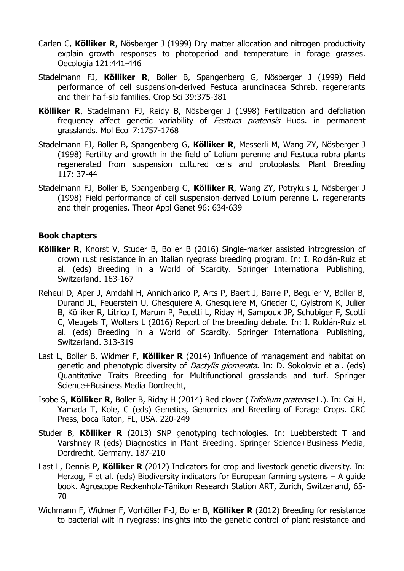- Carlen C, **Kölliker R**, Nösberger J (1999) Dry matter allocation and nitrogen productivity explain growth responses to photoperiod and temperature in forage grasses. Oecologia 121:441-446
- Stadelmann FJ, **Kölliker R**, Boller B, Spangenberg G, Nösberger J (1999) Field performance of cell suspension-derived Festuca arundinacea Schreb. regenerants and their half-sib families. Crop Sci 39:375-381
- **Kölliker R**, Stadelmann FJ, Reidy B, Nösberger J (1998) Fertilization and defoliation frequency affect genetic variability of *Festuca pratensis* Huds. in permanent grasslands. Mol Ecol 7:1757-1768
- Stadelmann FJ, Boller B, Spangenberg G, **Kölliker R**, Messerli M, Wang ZY, Nösberger J (1998) Fertility and growth in the field of Lolium perenne and Festuca rubra plants regenerated from suspension cultured cells and protoplasts. Plant Breeding 117: 37-44
- Stadelmann FJ, Boller B, Spangenberg G, **Kölliker R**, Wang ZY, Potrykus I, Nösberger J (1998) Field performance of cell suspension-derived Lolium perenne L. regenerants and their progenies. Theor Appl Genet 96: 634-639

#### **Book chapters**

- **Kölliker R**, Knorst V, Studer B, Boller B (2016) Single-marker assisted introgression of crown rust resistance in an Italian ryegrass breeding program. In: I. Roldán-Ruiz et al. (eds) Breeding in a World of Scarcity. Springer International Publishing, Switzerland. 163-167
- Reheul D, Aper J, Amdahl H, Annichiarico P, Arts P, Baert J, Barre P, Beguier V, Boller B, Durand JL, Feuerstein U, Ghesquiere A, Ghesquiere M, Grieder C, Gylstrom K, Julier B, Kölliker R, Litrico I, Marum P, Pecetti L, Riday H, Sampoux JP, Schubiger F, Scotti C, Vleugels T, Wolters L (2016) Report of the breeding debate. In: I. Roldán-Ruiz et al. (eds) Breeding in a World of Scarcity. Springer International Publishing, Switzerland. 313-319
- Last L, Boller B, Widmer F, **Kölliker R** (2014) Influence of management and habitat on genetic and phenotypic diversity of *Dactylis glomerata*. In: D. Sokolovic et al. (eds) Quantitative Traits Breeding for Multifunctional grasslands and turf. Springer Science+Business Media Dordrecht,
- Isobe S, **Kölliker R**, Boller B, Riday H (2014) Red clover (Trifolium pratense L.). In: Cai H, Yamada T, Kole, C (eds) Genetics, Genomics and Breeding of Forage Crops. CRC Press, boca Raton, FL, USA. 220-249
- Studer B, **Kölliker R** (2013) SNP genotyping technologies. In: Luebberstedt T and Varshney R (eds) Diagnostics in Plant Breeding. Springer Science+Business Media, Dordrecht, Germany. 187-210
- Last L, Dennis P, **Kölliker R** (2012) Indicators for crop and livestock genetic diversity. In: Herzog, F et al. (eds) Biodiversity indicators for European farming systems – A guide book. Agroscope Reckenholz-Tänikon Research Station ART, Zurich, Switzerland, 65- 70
- Wichmann F, Widmer F, Vorhölter F-J, Boller B, **Kölliker R** (2012) Breeding for resistance to bacterial wilt in ryegrass: insights into the genetic control of plant resistance and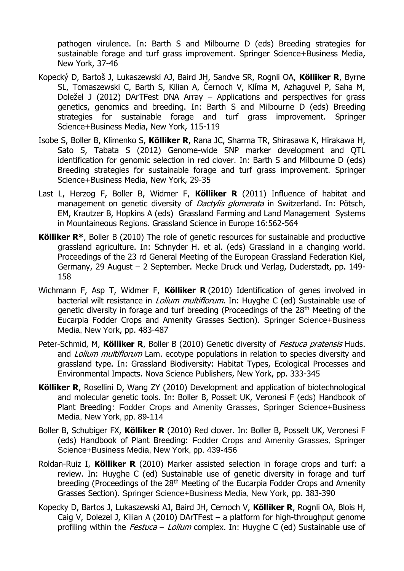pathogen virulence. In: Barth S and Milbourne D (eds) Breeding strategies for sustainable forage and turf grass improvement. Springer Science+Business Media, New York, 37-46

- Kopecký D, Bartoš J, Lukaszewski AJ, Baird JH, Sandve SR, Rognli OA, **Kölliker R**, Byrne SL, Tomaszewski C, Barth S, Kilian A, Černoch V, Klíma M, Azhaguvel P, Saha M, Doležel J (2012) DArTFest DNA Array – Applications and perspectives for grass genetics, genomics and breeding. In: Barth S and Milbourne D (eds) Breeding strategies for sustainable forage and turf grass improvement. Springer Science+Business Media, New York, 115-119
- Isobe S, Boller B, Klimenko S, **Kölliker R**, Rana JC, Sharma TR, Shirasawa K, Hirakawa H, Sato S, Tabata S (2012) Genome-wide SNP marker development and QTL identification for genomic selection in red clover. In: Barth S and Milbourne D (eds) Breeding strategies for sustainable forage and turf grass improvement. Springer Science+Business Media, New York, 29-35
- Last L, Herzog F, Boller B, Widmer F, **Kölliker R** (2011) Influence of habitat and management on genetic diversity of *Dactylis glomerata* in Switzerland. In: Pötsch, EM, Krautzer B, Hopkins A (eds) Grassland Farming and Land Management Systems in Mountaineous Regions. Grassland Science in Europe 16:562-564
- **Kölliker R\***, Boller B (2010) The role of genetic resources for sustainable and productive grassland agriculture. In: Schnyder H. et al. (eds) Grassland in a changing world. Proceedings of the 23 rd General Meeting of the European Grassland Federation Kiel, Germany, 29 August – 2 September. Mecke Druck und Verlag, Duderstadt, pp. 149- 158
- Wichmann F, Asp T, Widmer F, **Kölliker R**(2010) Identification of genes involved in bacterial wilt resistance in *Lolium multiflorum*. In: Huyghe C (ed) Sustainable use of genetic diversity in forage and turf breeding (Proceedings of the 28<sup>th</sup> Meeting of the Eucarpia Fodder Crops and Amenity Grasses Section). Springer Science+Business Media, New York, pp. 483-487
- Peter-Schmid, M, Kölliker R, Boller B (2010) Genetic diversity of *Festuca pratensis* Huds. and *Lolium multiflorum* Lam. ecotype populations in relation to species diversity and grassland type. In: Grassland Biodiversity: Habitat Types, Ecological Processes and Environmental Impacts. Nova Science Publishers, New York, pp. 333-345
- **Kölliker R**, Rosellini D, Wang ZY (2010) Development and application of biotechnological and molecular genetic tools. In: Boller B, Posselt UK, Veronesi F (eds) Handbook of Plant Breeding: Fodder Crops and Amenity Grasses, Springer Science+Business Media, New York, pp. 89-114
- Boller B, Schubiger FX, **Kölliker R** (2010) Red clover. In: Boller B, Posselt UK, Veronesi F (eds) Handbook of Plant Breeding: Fodder Crops and Amenity Grasses, Springer Science+Business Media, New York, pp. 439-456
- Roldan-Ruiz I, **Kölliker R** (2010) Marker assisted selection in forage crops and turf: a review. In: Huyghe C (ed) Sustainable use of genetic diversity in forage and turf breeding (Proceedings of the 28<sup>th</sup> Meeting of the Eucarpia Fodder Crops and Amenity Grasses Section). Springer Science+Business Media, New York, pp. 383-390
- Kopecky D, Bartos J, Lukaszewski AJ, Baird JH, Cernoch V, **Kölliker R**, Rognli OA, Blois H, Caig V, Dolezel J, Kilian A (2010) DArTFest – a platform for high-throughput genome profiling within the *Festuca - Lolium* complex. In: Huyghe C (ed) Sustainable use of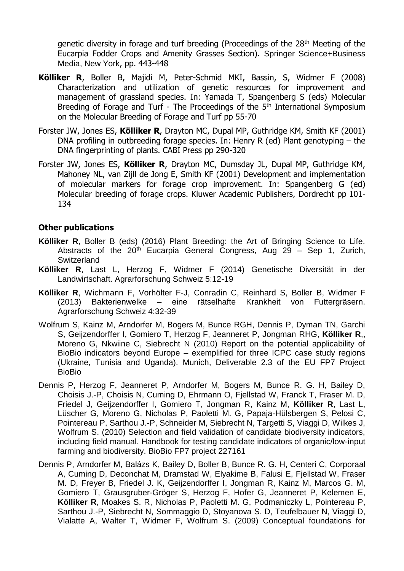genetic diversity in forage and turf breeding (Proceedings of the 28<sup>th</sup> Meeting of the Eucarpia Fodder Crops and Amenity Grasses Section). Springer Science+Business Media, New York, pp. 443-448

- **Kölliker R**, Boller B, Majidi M, Peter-Schmid MKI, Bassin, S, Widmer F (2008) Characterization and utilization of genetic resources for improvement and management of grassland species. In: Yamada T, Spangenberg S (eds) Molecular Breeding of Forage and Turf - The Proceedings of the 5<sup>th</sup> International Symposium on the Molecular Breeding of Forage and Turf pp 55-70
- Forster JW, Jones ES, **Kölliker R**, Drayton MC, Dupal MP, Guthridge KM, Smith KF (2001) DNA profiling in outbreeding forage species. In: Henry R (ed) Plant genotyping – the DNA fingerprinting of plants. CABI Press pp 290-320
- Forster JW, Jones ES, **Kölliker R**, Drayton MC, Dumsday JL, Dupal MP, Guthridge KM, Mahoney NL, van Zijll de Jong E, Smith KF (2001) Development and implementation of molecular markers for forage crop improvement. In: Spangenberg G (ed) Molecular breeding of forage crops. Kluwer Academic Publishers, Dordrecht pp 101- 134

#### **Other publications**

- **Kölliker R**, Boller B (eds) (2016) Plant Breeding: the Art of Bringing Science to Life. Abstracts of the  $20<sup>th</sup>$  Eucarpia General Congress, Aug 29 – Sep 1, Zurich, **Switzerland**
- **Kölliker R**, Last L, Herzog F, Widmer F (2014) Genetische Diversität in der Landwirtschaft. Agrarforschung Schweiz 5:12-19
- **Kölliker R**, Wichmann F, Vorhölter F-J, Conradin C, Reinhard S, Boller B, Widmer F (2013) Bakterienwelke – eine rätselhafte Krankheit von Futtergräsern. Agrarforschung Schweiz 4:32-39
- Wolfrum S, Kainz M, Arndorfer M, Bogers M, Bunce RGH, Dennis P, Dyman TN, Garchi S, Geijzendorffer I, Gomiero T, Herzog F, Jeanneret P, Jongman RHG, **Kölliker R**,, Moreno G, Nkwiine C, Siebrecht N (2010) Report on the potential applicability of BioBio indicators beyond Europe – exemplified for three ICPC case study regions (Ukraine, Tunisia and Uganda). Munich, Deliverable 2.3 of the EU FP7 Project BioBio
- Dennis P, Herzog F, Jeanneret P, Arndorfer M, Bogers M, Bunce R. G. H, Bailey D, Choisis J.-P, Choisis N, Cuming D, Ehrmann O, Fjellstad W, Franck T, Fraser M. D, Friedel J, Geijzendorffer I, Gomiero T, Jongman R, Kainz M, **Kölliker R**, Last L, Lüscher G, Moreno G, Nicholas P, Paoletti M. G, Papaja-Hülsbergen S, Pelosi C, Pointereau P, Sarthou J.-P, Schneider M, Siebrecht N, Targetti S, Viaggi D, Wilkes J, Wolfrum S. (2010) Selection and field validation of candidate biodiversity indicators, including field manual. Handbook for testing candidate indicators of organic/low-input farming and biodiversity. BioBio FP7 project 227161
- Dennis P, Arndorfer M, Balázs K, Bailey D, Boller B, Bunce R. G. H, Centeri C, Corporaal A, Cuming D, Deconchat M, Dramstad W, Elyakime B, Falusi E, Fjellstad W, Fraser M. D, Freyer B, Friedel J. K, Geijzendorffer I, Jongman R, Kainz M, Marcos G. M, Gomiero T, Grausgruber-Gröger S, Herzog F, Hofer G, Jeanneret P, Kelemen E, **Kölliker R**, Moakes S. R, Nicholas P, Paoletti M. G, Podmaniczky L, Pointereau P, Sarthou J.-P, Siebrecht N, Sommaggio D, Stoyanova S. D, Teufelbauer N, Viaggi D, Vialatte A, Walter T, Widmer F, Wolfrum S. (2009) Conceptual foundations for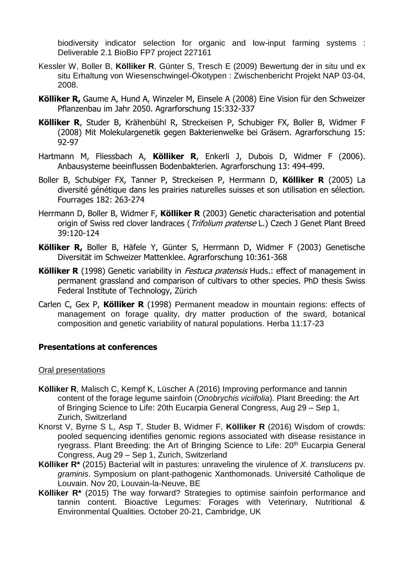biodiversity indicator selection for organic and low-input farming systems : Deliverable 2.1 BioBio FP7 project 227161

- Kessler W, Boller B, **Kölliker R**, Günter S, Tresch E (2009) Bewertung der in situ und ex situ Erhaltung von Wiesenschwingel-Ökotypen : Zwischenbericht Projekt NAP 03-04, 2008.
- **Kölliker R,** Gaume A, Hund A, Winzeler M, Einsele A (2008) Eine Vision für den Schweizer Pflanzenbau im Jahr 2050. Agrarforschung 15:332-337
- **Kölliker R**, Studer B, Krähenbühl R, Streckeisen P, Schubiger FX, Boller B, Widmer F (2008) Mit Molekulargenetik gegen Bakterienwelke bei Gräsern. Agrarforschung 15: 92-97
- Hartmann M, Fliessbach A, **Kölliker R**, Enkerli J, Dubois D, Widmer F (2006). Anbausysteme beeinflussen Bodenbakterien. Agrarforschung 13: 494-499.
- Boller B, Schubiger FX, Tanner P, Streckeisen P, Herrmann D, **Kölliker R** (2005) La diversité génétique dans les prairies naturelles suisses et son utilisation en sélection. Fourrages 182: 263-274
- Herrmann D, Boller B, Widmer F, **Kölliker R** (2003) Genetic characterisation and potential origin of Swiss red clover landraces (*Trifolium pratense* L.) Czech J Genet Plant Breed 39:120-124
- **Kölliker R,** Boller B, Häfele Y, Günter S, Herrmann D, Widmer F (2003) Genetische Diversität im Schweizer Mattenklee. Agrarforschung 10:361-368
- **Kölliker R** (1998) Genetic variability in *Festuca pratensis* Huds.: effect of management in permanent grassland and comparison of cultivars to other species. PhD thesis Swiss Federal Institute of Technology, Zürich
- Carlen C, Gex P, **Kölliker R** (1998) Permanent meadow in mountain regions: effects of management on forage quality, dry matter production of the sward, botanical composition and genetic variability of natural populations. Herba 11:17-23

#### **Presentations at conferences**

#### Oral presentations

- **Kölliker R**, Malisch C, Kempf K, Lüscher A (2016) Improving performance and tannin content of the forage legume sainfoin (*Onobrychis viciifolia*). Plant Breeding: the Art of Bringing Science to Life: 20th Eucarpia General Congress, Aug 29 – Sep 1, Zurich, Switzerland
- Knorst V, Byrne S L, Asp T, Studer B, Widmer F, **Kölliker R** (2016) Wisdom of crowds: pooled sequencing identifies genomic regions associated with disease resistance in ryegrass. Plant Breeding: the Art of Bringing Science to Life: 20<sup>th</sup> Eucarpia General Congress, Aug 29 – Sep 1, Zurich, Switzerland
- **Kölliker R\*** (2015) Bacterial wilt in pastures: unraveling the virulence of *X. translucens* pv. *graminis*. Symposium on plant-pathogenic Xanthomonads. Université Catholique de Louvain. Nov 20, Louvain-la-Neuve, BE
- **Kölliker R\*** (2015) The way forward? Strategies to optimise sainfoin performance and tannin content. Bioactive Legumes: Forages with Veterinary, Nutritional & Environmental Qualities. October 20-21, Cambridge, UK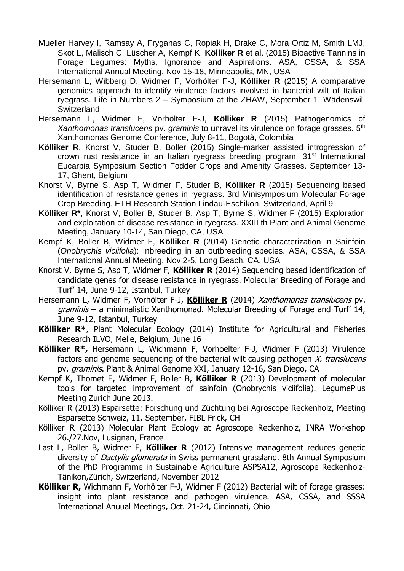- Mueller Harvey I, Ramsay A, Fryganas C, Ropiak H, Drake C, Mora Ortiz M, Smith LMJ, Skot L, Malisch C, Lüscher A, Kempf K, **Kölliker R** et al. (2015) Bioactive Tannins in Forage Legumes: Myths, Ignorance and Aspirations. ASA, CSSA, & SSA International Annual Meeting, Nov 15-18, Minneapolis, MN, USA
- Hersemann L, Wibberg D, Widmer F, Vorhölter F-J, **Kölliker R** (2015) A comparative genomics approach to identify virulence factors involved in bacterial wilt of Italian ryegrass. Life in Numbers 2 – Symposium at the ZHAW, September 1, Wädenswil, **Switzerland**
- Hersemann L, Widmer F, Vorhölter F-J, **Kölliker R** (2015) Pathogenomics of *Xanthomonas translucens* pv. *graminis* to unravel its virulence on forage grasses. 5th Xanthomonas Genome Conference, July 8-11, Bogotà, Colombia
- **Kölliker R**, Knorst V, Studer B, Boller (2015) Single-marker assisted introgression of crown rust resistance in an Italian ryegrass breeding program. 31<sup>st</sup> International Eucarpia Symposium Section Fodder Crops and Amenity Grasses. September 13- 17, Ghent, Belgium
- Knorst V, Byrne S, Asp T, Widmer F, Studer B, **Kölliker R** (2015) Sequencing based identification of resistance genes in ryegrass. 3rd Minisymposium Molecular Forage Crop Breeding. ETH Research Station Lindau-Eschikon, Switzerland, April 9
- **Kölliker R\***, Knorst V, Boller B, Studer B, Asp T, Byrne S, Widmer F (2015) Exploration and exploitation of disease resistance in ryegrass. XXIII th Plant and Animal Genome Meeting, January 10-14, San Diego, CA, USA
- Kempf K, Boller B, Widmer F, **Kölliker R** (2014) Genetic characterization in Sainfoin (*Onobrychis viciifolia*): Inbreeding in an outbreeding species. ASA, CSSA, & SSA International Annual Meeting, Nov 2-5, Long Beach, CA, USA
- Knorst V, Byrne S, Asp T, Widmer F, **Kölliker R** (2014) Sequencing based identification of candidate genes for disease resistance in ryegrass. Molecular Breeding of Forage and Turf' 14, June 9-12, Istanbul, Turkey
- Hersemann L, Widmer F, Vorhölter F-J, **Kölliker R** (2014) Xanthomonas translucens pv.  $graminis - a$  minimalistic Xanthomonad. Molecular Breeding of Forage and Turf' 14, June 9-12, Istanbul, Turkey
- **Kölliker R\***, Plant Molecular Ecology (2014) Institute for Agricultural and Fisheries Research ILVO, Melle, Belgium, June 16
- **Kölliker R\*,** Hersemann L, Wichmann F, Vorhoelter F-J, Widmer F (2013) Virulence factors and genome sequencing of the bacterial wilt causing pathogen  $X$ . translucens pv. *graminis*. Plant & Animal Genome XXI, January 12-16, San Diego, CA
- Kempf K, Thomet E, Widmer F, Boller B, **Kölliker R** (2013) Development of molecular tools for targeted improvement of sainfoin (Onobrychis viciifolia). LegumePlus Meeting Zurich June 2013.
- Kölliker R (2013) Esparsette: Forschung und Züchtung bei Agroscope Reckenholz, Meeting Esparsette Schweiz, 11. September, FIBL Frick, CH
- Kölliker R (2013) Molecular Plant Ecology at Agroscope Reckenholz, INRA Workshop 26./27.Nov, Lusignan, France
- Last L, Boller B, Widmer F, **Kölliker R** (2012) Intensive management reduces genetic diversity of *Dactylis glomerata* in Swiss permanent grassland. 8th Annual Symposium of the PhD Programme in Sustainable Agriculture ASPSA12, Agroscope Reckenholz-Tänikon,Zürich, Switzerland, November 2012
- **Kölliker R,** Wichmann F, Vorhölter F-J, Widmer F (2012) Bacterial wilt of forage grasses: insight into plant resistance and pathogen virulence. ASA, CSSA, and SSSA International Anuual Meetings, Oct. 21-24, Cincinnati, Ohio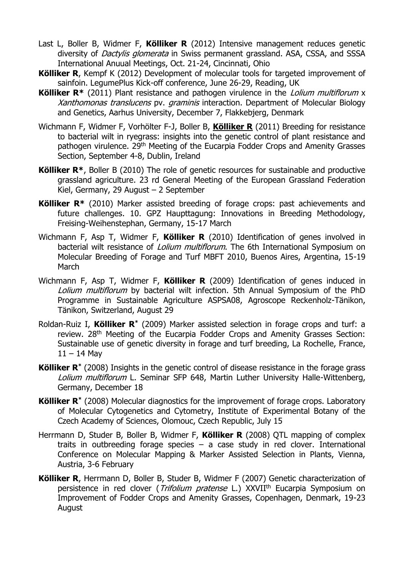- Last L, Boller B, Widmer F, **Kölliker R** (2012) Intensive management reduces genetic diversity of *Dactylis glomerata* in Swiss permanent grassland. ASA, CSSA, and SSSA International Anuual Meetings, Oct. 21-24, Cincinnati, Ohio
- **Kölliker R**, Kempf K (2012) Development of molecular tools for targeted improvement of sainfoin. LegumePlus Kick-off conference, June 26-29, Reading, UK
- **Kölliker R<sup>\*</sup>** (2011) Plant resistance and pathogen virulence in the *Lolium multiflorum* x Xanthomonas translucens pv. graminis interaction. Department of Molecular Biology and Genetics, Aarhus University, December 7, Flakkebjerg, Denmark
- Wichmann F, Widmer F, Vorhölter F-J, Boller B, **Kölliker R** (2011) Breeding for resistance to bacterial wilt in ryegrass: insights into the genetic control of plant resistance and pathogen virulence. 29<sup>th</sup> Meeting of the Eucarpia Fodder Crops and Amenity Grasses Section, September 4-8, Dublin, Ireland
- **Kölliker R\***, Boller B (2010) The role of genetic resources for sustainable and productive grassland agriculture. 23 rd General Meeting of the European Grassland Federation Kiel, Germany, 29 August – 2 September
- **Kölliker R\*** (2010) Marker assisted breeding of forage crops: past achievements and future challenges. 10. GPZ Haupttagung: Innovations in Breeding Methodology, Freising-Weihenstephan, Germany, 15-17 March
- Wichmann F, Asp T, Widmer F, **Kölliker R** (2010) Identification of genes involved in bacterial wilt resistance of *Lolium multiflorum*. The 6th International Symposium on Molecular Breeding of Forage and Turf MBFT 2010, Buenos Aires, Argentina, 15-19 **March**
- Wichmann F, Asp T, Widmer F, **Kölliker R** (2009) Identification of genes induced in Lolium multiflorum by bacterial wilt infection. 5th Annual Symposium of the PhD Programme in Sustainable Agriculture ASPSA08, Agroscope Reckenholz-Tänikon, Tänikon, Switzerland, August 29
- Roldan-Ruiz I, **Kölliker R\*** (2009) Marker assisted selection in forage crops and turf: a review. 28<sup>th</sup> Meeting of the Eucarpia Fodder Crops and Amenity Grasses Section: Sustainable use of genetic diversity in forage and turf breeding, La Rochelle, France,  $11 - 14$  Mav
- **Kölliker R\*** (2008) Insights in the genetic control of disease resistance in the forage grass Lolium multiflorum L. Seminar SFP 648, Martin Luther University Halle-Wittenberg, Germany, December 18
- **Kölliker R\*** (2008) Molecular diagnostics for the improvement of forage crops. Laboratory of Molecular Cytogenetics and Cytometry, Institute of Experimental Botany of the Czech Academy of Sciences, Olomouc, Czech Republic, July 15
- Herrmann D, Studer B, Boller B, Widmer F, **Kölliker R** (2008) QTL mapping of complex traits in outbreeding forage species  $-$  a case study in red clover. International Conference on Molecular Mapping & Marker Assisted Selection in Plants, Vienna, Austria, 3-6 February
- **Kölliker R**, Herrmann D, Boller B, Studer B, Widmer F (2007) Genetic characterization of persistence in red clover (*Trifolium pratense* L.) XXVII<sup>th</sup> Eucarpia Symposium on Improvement of Fodder Crops and Amenity Grasses, Copenhagen, Denmark, 19-23 August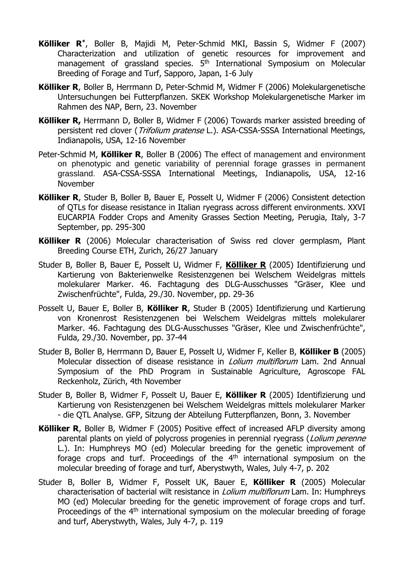- **Kölliker R\*** , Boller B, Majidi M, Peter-Schmid MKI, Bassin S, Widmer F (2007) Characterization and utilization of genetic resources for improvement and management of grassland species. 5<sup>th</sup> International Symposium on Molecular Breeding of Forage and Turf, Sapporo, Japan, 1-6 July
- **Kölliker R**, Boller B, Herrmann D, Peter-Schmid M, Widmer F (2006) Molekulargenetische Untersuchungen bei Futterpflanzen. SKEK Workshop Molekulargenetische Marker im Rahmen des NAP, Bern, 23. November
- **Kölliker R,** Herrmann D, Boller B, Widmer F (2006) Towards marker assisted breeding of persistent red clover (*Trifolium pratense* L.). ASA-CSSA-SSSA International Meetings, Indianapolis, USA, 12-16 November
- Peter-Schmid M, **Kölliker R**, Boller B (2006) The effect of management and environment on phenotypic and genetic variability of perennial forage grasses in permanent grassland. ASA-CSSA-SSSA International Meetings, Indianapolis, USA, 12-16 November
- **Kölliker R**, Studer B, Boller B, Bauer E, Posselt U, Widmer F (2006) Consistent detection of QTLs for disease resistance in Italian ryegrass across different environments. XXVI EUCARPIA Fodder Crops and Amenity Grasses Section Meeting, Perugia, Italy, 3-7 September, pp. 295-300
- **Kölliker R** (2006) Molecular characterisation of Swiss red clover germplasm, Plant Breeding Course ETH, Zurich, 26/27 January
- Studer B, Boller B, Bauer E, Posselt U, Widmer F, **Kölliker R** (2005) Identifizierung und Kartierung von Bakterienwelke Resistenzgenen bei Welschem Weidelgras mittels molekularer Marker. 46. Fachtagung des DLG-Ausschusses "Gräser, Klee und Zwischenfrüchte", Fulda, 29./30. November, pp. 29-36
- Posselt U, Bauer E, Boller B, **Kölliker R**, Studer B (2005) Identifizierung und Kartierung von Kronenrost Resistenzgenen bei Welschem Weidelgras mittels molekularer Marker. 46. Fachtagung des DLG-Ausschusses "Gräser, Klee und Zwischenfrüchte", Fulda, 29./30. November, pp. 37-44
- Studer B, Boller B, Herrmann D, Bauer E, Posselt U, Widmer F, Keller B, **Kölliker B** (2005) Molecular dissection of disease resistance in *Lolium multiflorum* Lam. 2nd Annual Symposium of the PhD Program in Sustainable Agriculture, Agroscope FAL Reckenholz, Zürich, 4th November
- Studer B, Boller B, Widmer F, Posselt U, Bauer E, **Kölliker R** (2005) Identifizierung und Kartierung von Resistenzgenen bei Welschem Weidelgras mittels molekularer Marker - die QTL Analyse. GFP, Sitzung der Abteilung Futterpflanzen, Bonn, 3. November
- **Kölliker R**, Boller B, Widmer F (2005) Positive effect of increased AFLP diversity among parental plants on yield of polycross progenies in perennial ryegrass (*Lolium perenne* L.). In: Humphreys MO (ed) Molecular breeding for the genetic improvement of forage crops and turf. Proceedings of the  $4<sup>th</sup>$  international symposium on the molecular breeding of forage and turf, Aberystwyth, Wales, July 4-7, p. 202
- Studer B, Boller B, Widmer F, Posselt UK, Bauer E, **Kölliker R** (2005) Molecular characterisation of bacterial wilt resistance in *Lolium multiflorum* Lam. In: Humphreys MO (ed) Molecular breeding for the genetic improvement of forage crops and turf. Proceedings of the 4<sup>th</sup> international symposium on the molecular breeding of forage and turf, Aberystwyth, Wales, July 4-7, p. 119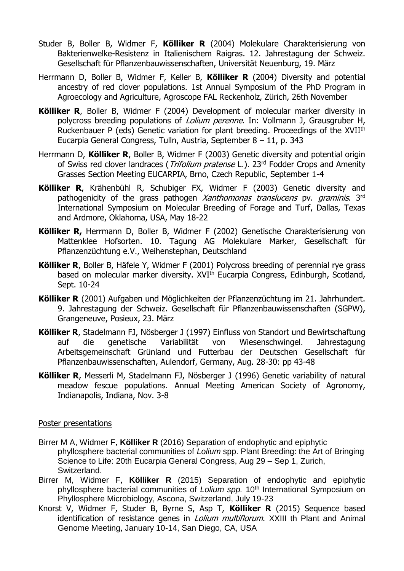- Studer B, Boller B, Widmer F, **Kölliker R** (2004) Molekulare Charakterisierung von Bakterienwelke-Resistenz in Italienischem Raigras. 12. Jahrestagung der Schweiz. Gesellschaft für Pflanzenbauwissenschaften, Universität Neuenburg, 19. März
- Herrmann D, Boller B, Widmer F, Keller B, **Kölliker R** (2004) Diversity and potential ancestry of red clover populations. 1st Annual Symposium of the PhD Program in Agroecology and Agriculture, Agroscope FAL Reckenholz, Zürich, 26th November
- **Kölliker R**, Boller B, Widmer F (2004) Development of molecular marker diversity in polycross breeding populations of *Lolium perenne*. In: Vollmann J, Grausgruber H, Ruckenbauer P (eds) Genetic variation for plant breeding. Proceedings of the XVIIth Eucarpia General Congress, Tulln, Austria, September 8 – 11, p. 343
- Herrmann D, **Kölliker R**, Boller B, Widmer F (2003) Genetic diversity and potential origin of Swiss red clover landraces (*Trifolium pratense* L.). 23<sup>rd</sup> Fodder Crops and Amenity Grasses Section Meeting EUCARPIA, Brno, Czech Republic, September 1-4
- **Kölliker R**, Krähenbühl R, Schubiger FX, Widmer F (2003) Genetic diversity and pathogenicity of the grass pathogen Xanthomonas translucens pv. graminis. 3rd International Symposium on Molecular Breeding of Forage and Turf, Dallas, Texas and Ardmore, Oklahoma, USA, May 18-22
- **Kölliker R,** Herrmann D, Boller B, Widmer F (2002) Genetische Charakterisierung von Mattenklee Hofsorten. 10. Tagung AG Molekulare Marker, Gesellschaft für Pflanzenzüchtung e.V., Weihenstephan, Deutschland
- **Kölliker R**, Boller B, Häfele Y, Widmer F (2001) Polycross breeding of perennial rye grass based on molecular marker diversity. XVI<sup>th</sup> Eucarpia Congress, Edinburgh, Scotland, Sept. 10-24
- **Kölliker R** (2001) Aufgaben und Möglichkeiten der Pflanzenzüchtung im 21. Jahrhundert. 9. Jahrestagung der Schweiz. Gesellschaft für Pflanzenbauwissenschaften (SGPW), Grangeneuve, Posieux, 23. März
- **Kölliker R**, Stadelmann FJ, Nösberger J (1997) Einfluss von Standort und Bewirtschaftung auf die genetische Variabilität von Wiesenschwingel. Jahrestagung Arbeitsgemeinschaft Grünland und Futterbau der Deutschen Gesellschaft für Pflanzenbauwissenschaften, Aulendorf, Germany, Aug. 28-30: pp 43-48
- **Kölliker R**, Messerli M, Stadelmann FJ, Nösberger J (1996) Genetic variability of natural meadow fescue populations. Annual Meeting American Society of Agronomy, Indianapolis, Indiana, Nov. 3-8

#### Poster presentations

- Birrer M A, Widmer F, **Kölliker R** (2016) Separation of endophytic and epiphytic phyllosphere bacterial communities of *Lolium* spp. Plant Breeding: the Art of Bringing Science to Life: 20th Eucarpia General Congress, Aug 29 – Sep 1, Zurich, Switzerland.
- Birrer M, Widmer F, **Kölliker R** (2015) Separation of endophytic and epiphytic phyllosphere bacterial communities of *Lolium spp.* 10<sup>th</sup> International Symposium on Phyllosphere Microbiology, Ascona, Switzerland, July 19-23
- Knorst V, Widmer F, Studer B, Byrne S, Asp T, **Kölliker R** (2015) Sequence based identification of resistance genes in *Lolium multiflorum*. XXIII th Plant and Animal Genome Meeting, January 10-14, San Diego, CA, USA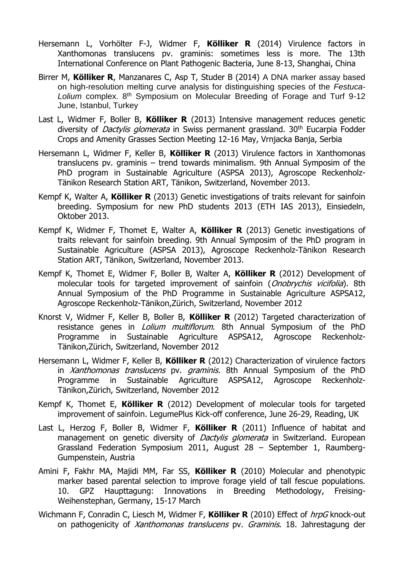- Hersemann L, Vorhölter F-J, Widmer F, **Kölliker R** (2014) Virulence factors in Xanthomonas translucens pv. graminis: sometimes less is more. The 13th International Conference on Plant Pathogenic Bacteria, June 8-13, Shanghai, China
- Birrer M, **Kölliker R**, Manzanares C, Asp T, Studer B (2014) A DNA marker assay based on high-resolution melting curve analysis for distinguishing species of the *Festuca-Lolium* complex. 8th Symposium on Molecular Breeding of Forage and Turf 9-12 June, Istanbul, Turkey
- Last L, Widmer F, Boller B, **Kölliker R** (2013) Intensive management reduces genetic diversity of *Dactylis glomerata* in Swiss permanent grassland. 30<sup>th</sup> Eucarpia Fodder Crops and Amenity Grasses Section Meeting 12-16 May, Vrnjacka Banja, Serbia
- Hersemann L, Widmer F, Keller B, **Kölliker R** (2013) Virulence factors in Xanthomonas translucens pv. graminis – trend towards minimalism. 9th Annual Symposim of the PhD program in Sustainable Agriculture (ASPSA 2013), Agroscope Reckenholz-Tänikon Research Station ART, Tänikon, Switzerland, November 2013.
- Kempf K, Walter A, **Kölliker R** (2013) Genetic investigations of traits relevant for sainfoin breeding. Symposium for new PhD students 2013 (ETH IAS 2013), Einsiedeln, Oktober 2013.
- Kempf K, Widmer F, Thomet E, Walter A, **Kölliker R** (2013) Genetic investigations of traits relevant for sainfoin breeding. 9th Annual Symposim of the PhD program in Sustainable Agriculture (ASPSA 2013), Agroscope Reckenholz-Tänikon Research Station ART, Tänikon, Switzerland, November 2013.
- Kempf K, Thomet E, Widmer F, Boller B, Walter A, **Kölliker R** (2012) Development of molecular tools for targeted improvement of sainfoin (*Onobrychis vicifolia*). 8th Annual Symposium of the PhD Programme in Sustainable Agriculture ASPSA12, Agroscope Reckenholz-Tänikon,Zürich, Switzerland, November 2012
- Knorst V, Widmer F, Keller B, Boller B, **Kölliker R** (2012) Targeted characterization of resistance genes in *Lolium multiflorum*. 8th Annual Symposium of the PhD Programme in Sustainable Agriculture ASPSA12, Agroscope Reckenholz-Tänikon,Zürich, Switzerland, November 2012
- Hersemann L, Widmer F, Keller B, **Kölliker R** (2012) Characterization of virulence factors in Xanthomonas translucens pv. graminis. 8th Annual Symposium of the PhD Programme in Sustainable Agriculture ASPSA12, Agroscope Reckenholz-Tänikon,Zürich, Switzerland, November 2012
- Kempf K, Thomet E, **Kölliker R** (2012) Development of molecular tools for targeted improvement of sainfoin. LegumePlus Kick-off conference, June 26-29, Reading, UK
- Last L, Herzog F, Boller B, Widmer F, **Kölliker R** (2011) Influence of habitat and management on genetic diversity of Dactylis glomerata in Switzerland. European Grassland Federation Symposium 2011, August 28 – September 1, Raumberg-Gumpenstein, Austria
- Amini F, Fakhr MA, Majidi MM, Far SS, **Kölliker R** (2010) Molecular and phenotypic marker based parental selection to improve forage yield of tall fescue populations. 10. GPZ Haupttagung: Innovations in Breeding Methodology, Freising-Weihenstephan, Germany, 15-17 March
- Wichmann F, Conradin C, Liesch M, Widmer F, **Kölliker R** (2010) Effect of hrpG knock-out on pathogenicity of *Xanthomonas translucens* pv. Graminis. 18. Jahrestagung der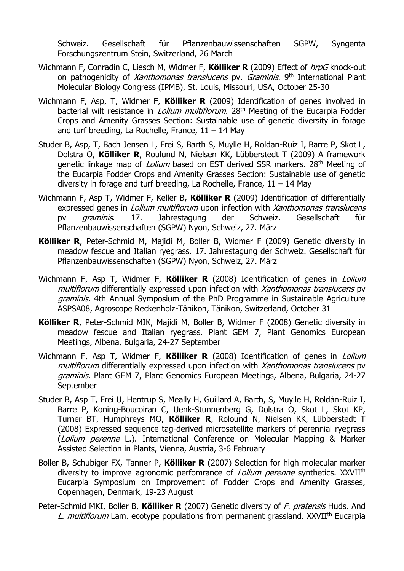Schweiz. Gesellschaft für Pflanzenbauwissenschaften SGPW, Syngenta Forschungszentrum Stein, Switzerland, 26 March

- Wichmann F, Conradin C, Liesch M, Widmer F, **Kölliker R** (2009) Effect of hrpG knock-out on pathogenicity of *Xanthomonas translucens* pv. Graminis. 9<sup>th</sup> International Plant Molecular Biology Congress (IPMB), St. Louis, Missouri, USA, October 25-30
- Wichmann F, Asp, T, Widmer F, **Kölliker R** (2009) Identification of genes involved in bacterial wilt resistance in *Lolium multiflorum*. 28<sup>th</sup> Meeting of the Eucarpia Fodder Crops and Amenity Grasses Section: Sustainable use of genetic diversity in forage and turf breeding, La Rochelle, France,  $11 - 14$  May
- Studer B, Asp, T, Bach Jensen L, Frei S, Barth S, Muylle H, Roldan-Ruiz I, Barre P, Skot L, Dolstra O, **Kölliker R**, Roulund N, Nielsen KK, Lübberstedt T (2009) A framework genetic linkage map of *Lolium* based on EST derived SSR markers. 28<sup>th</sup> Meeting of the Eucarpia Fodder Crops and Amenity Grasses Section: Sustainable use of genetic diversity in forage and turf breeding, La Rochelle, France,  $11 - 14$  May
- Wichmann F, Asp T, Widmer F, Keller B, **Kölliker R** (2009) Identification of differentially expressed genes in *Lolium multiflorum* upon infection with *Xanthomonas translucens* pv graminis. 17. Jahrestagung der Schweiz. Gesellschaft für Pflanzenbauwissenschaften (SGPW) Nyon, Schweiz, 27. März
- **Kölliker R**, Peter-Schmid M, Majidi M, Boller B, Widmer F (2009) Genetic diversity in meadow fescue and Italian ryegrass. 17. Jahrestagung der Schweiz. Gesellschaft für Pflanzenbauwissenschaften (SGPW) Nyon, Schweiz, 27. März
- Wichmann F, Asp T, Widmer F, **Kölliker R** (2008) Identification of genes in Lolium multiflorum differentially expressed upon infection with Xanthomonas translucens py graminis. 4th Annual Symposium of the PhD Programme in Sustainable Agriculture ASPSA08, Agroscope Reckenholz-Tänikon, Tänikon, Switzerland, October 31
- **Kölliker R**, Peter-Schmid MIK, Majidi M, Boller B, Widmer F (2008) Genetic diversity in meadow fescue and Italian ryegrass. Plant GEM 7, Plant Genomics European Meetings, Albena, Bulgaria, 24-27 September
- Wichmann F, Asp T, Widmer F, **Kölliker R** (2008) Identification of genes in Lolium multiflorum differentially expressed upon infection with Xanthomonas translucens pv graminis. Plant GEM 7, Plant Genomics European Meetings, Albena, Bulgaria, 24-27 September
- Studer B, Asp T, Frei U, Hentrup S, Meally H, Guillard A, Barth, S, Muylle H, Roldàn-Ruiz I, Barre P, Koning-Boucoiran C, Uenk-Stunnenberg G, Dolstra O, Skot L, Skot KP, Turner BT, Humphreys MO, **Kölliker R**, Rolound N, Nielsen KK, Lübberstedt T (2008) Expressed sequence tag-derived microsatellite markers of perennial ryegrass (Lolium perenne L.). International Conference on Molecular Mapping & Marker Assisted Selection in Plants, Vienna, Austria, 3-6 February
- Boller B, Schubiger FX, Tanner P, **Kölliker R** (2007) Selection for high molecular marker diversity to improve agronomic perfomrance of *Lolium perenne* synthetics. XXVII<sup>th</sup> Eucarpia Symposium on Improvement of Fodder Crops and Amenity Grasses, Copenhagen, Denmark, 19-23 August
- Peter-Schmid MKI, Boller B, **Kölliker R** (2007) Genetic diversity of F. pratensis Huds. And L. multiflorum Lam. ecotype populations from permanent grassland. XXVII<sup>th</sup> Eucarpia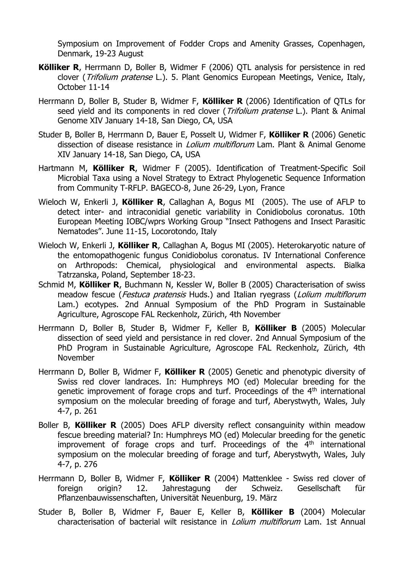Symposium on Improvement of Fodder Crops and Amenity Grasses, Copenhagen, Denmark, 19-23 August

- **Kölliker R**, Herrmann D, Boller B, Widmer F (2006) QTL analysis for persistence in red clover (*Trifolium pratense* L.). 5. Plant Genomics European Meetings, Venice, Italy, October 11-14
- Herrmann D, Boller B, Studer B, Widmer F, **Kölliker R** (2006) Identification of QTLs for seed yield and its components in red clover (Trifolium pratense L.). Plant & Animal Genome XIV January 14-18, San Diego, CA, USA
- Studer B, Boller B, Herrmann D, Bauer E, Posselt U, Widmer F, **Kölliker R** (2006) Genetic dissection of disease resistance in *Lolium multiflorum* Lam. Plant & Animal Genome XIV January 14-18, San Diego, CA, USA
- Hartmann M, **Kölliker R**, Widmer F (2005). Identification of Treatment-Specific Soil Microbial Taxa using a Novel Strategy to Extract Phylogenetic Sequence Information from Community T-RFLP. BAGECO-8, June 26-29, Lyon, France
- Wieloch W, Enkerli J, **Kölliker R**, Callaghan A, Bogus MI (2005). The use of AFLP to detect inter- and intraconidial genetic variability in Conidiobolus coronatus. 10th European Meeting IOBC/wprs Working Group "Insect Pathogens and Insect Parasitic Nematodes". June 11-15, Locorotondo, Italy
- Wieloch W, Enkerli J, **Kölliker R**, Callaghan A, Bogus MI (2005). Heterokaryotic nature of the entomopathogenic fungus Conidiobolus coronatus. IV International Conference on Arthropods: Chemical, physiological and environmental aspects. Bialka Tatrzanska, Poland, September 18-23.
- Schmid M, **Kölliker R**, Buchmann N, Kessler W, Boller B (2005) Characterisation of swiss meadow fescue (*Festuca pratensis* Huds.) and Italian ryegrass (*Lolium multiflorum* Lam.) ecotypes. 2nd Annual Symposium of the PhD Program in Sustainable Agriculture, Agroscope FAL Reckenholz, Zürich, 4th November
- Herrmann D, Boller B, Studer B, Widmer F, Keller B, **Kölliker B** (2005) Molecular dissection of seed yield and persistance in red clover. 2nd Annual Symposium of the PhD Program in Sustainable Agriculture, Agroscope FAL Reckenholz, Zürich, 4th November
- Herrmann D, Boller B, Widmer F, **Kölliker R** (2005) Genetic and phenotypic diversity of Swiss red clover landraces. In: Humphreys MO (ed) Molecular breeding for the genetic improvement of forage crops and turf. Proceedings of the 4<sup>th</sup> international symposium on the molecular breeding of forage and turf, Aberystwyth, Wales, July 4-7, p. 261
- Boller B, **Kölliker R** (2005) Does AFLP diversity reflect consanguinity within meadow fescue breeding material? In: Humphreys MO (ed) Molecular breeding for the genetic improvement of forage crops and turf. Proceedings of the  $4<sup>th</sup>$  international symposium on the molecular breeding of forage and turf, Aberystwyth, Wales, July 4-7, p. 276
- Herrmann D, Boller B, Widmer F, **Kölliker R** (2004) Mattenklee Swiss red clover of foreign origin? 12. Jahrestagung der Schweiz. Gesellschaft für Pflanzenbauwissenschaften, Universität Neuenburg, 19. März
- Studer B, Boller B, Widmer F, Bauer E, Keller B, **Kölliker B** (2004) Molecular characterisation of bacterial wilt resistance in *Lolium multiflorum* Lam. 1st Annual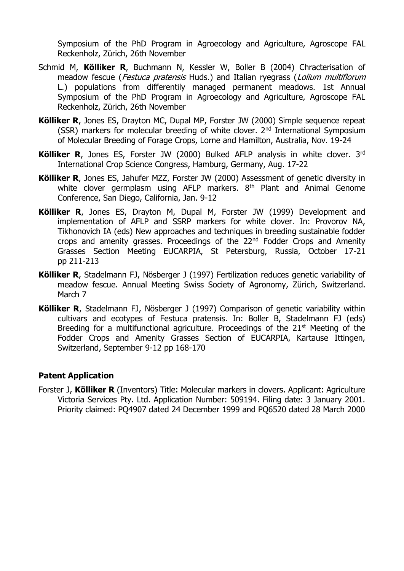Symposium of the PhD Program in Agroecology and Agriculture, Agroscope FAL Reckenholz, Zürich, 26th November

- Schmid M, **Kölliker R**, Buchmann N, Kessler W, Boller B (2004) Chracterisation of meadow fescue (*Festuca pratensis* Huds.) and Italian ryegrass (*Lolium multiflorum* L.) populations from differentily managed permanent meadows. 1st Annual Symposium of the PhD Program in Agroecology and Agriculture, Agroscope FAL Reckenholz, Zürich, 26th November
- **Kölliker R**, Jones ES, Drayton MC, Dupal MP, Forster JW (2000) Simple sequence repeat (SSR) markers for molecular breeding of white clover. 2nd International Symposium of Molecular Breeding of Forage Crops, Lorne and Hamilton, Australia, Nov. 19-24
- **Kölliker R**, Jones ES, Forster JW (2000) Bulked AFLP analysis in white clover. 3rd International Crop Science Congress, Hamburg, Germany, Aug. 17-22
- **Kölliker R**, Jones ES, Jahufer MZZ, Forster JW (2000) Assessment of genetic diversity in white clover germplasm using AFLP markers. 8<sup>th</sup> Plant and Animal Genome Conference, San Diego, California, Jan. 9-12
- **Kölliker R**, Jones ES, Drayton M, Dupal M, Forster JW (1999) Development and implementation of AFLP and SSRP markers for white clover. In: Provorov NA, Tikhonovich IA (eds) New approaches and techniques in breeding sustainable fodder crops and amenity grasses. Proceedings of the  $22<sup>nd</sup>$  Fodder Crops and Amenity Grasses Section Meeting EUCARPIA, St Petersburg, Russia, October 17-21 pp 211-213
- **Kölliker R**, Stadelmann FJ, Nösberger J (1997) Fertilization reduces genetic variability of meadow fescue. Annual Meeting Swiss Society of Agronomy, Zürich, Switzerland. March 7
- **Kölliker R**, Stadelmann FJ, Nösberger J (1997) Comparison of genetic variability within cultivars and ecotypes of Festuca pratensis. In: Boller B, Stadelmann FJ (eds) Breeding for a multifunctional agriculture. Proceedings of the  $21<sup>st</sup>$  Meeting of the Fodder Crops and Amenity Grasses Section of EUCARPIA, Kartause Ittingen, Switzerland, September 9-12 pp 168-170

## **Patent Application**

Forster J, **Kölliker R** (Inventors) Title: Molecular markers in clovers. Applicant: Agriculture Victoria Services Pty. Ltd. Application Number: 509194. Filing date: 3 January 2001. Priority claimed: PQ4907 dated 24 December 1999 and PQ6520 dated 28 March 2000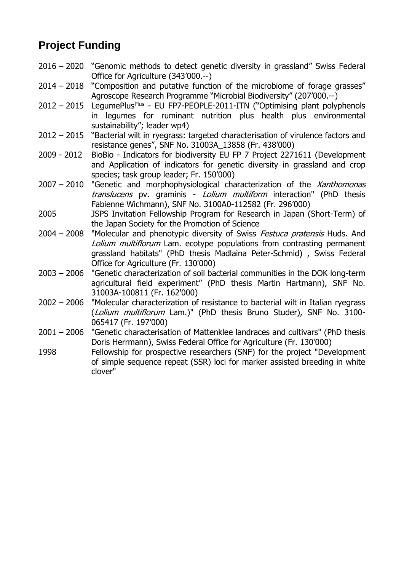# **Project Funding**

- 2016 2020 "Genomic methods to detect genetic diversity in grassland" Swiss Federal Office for Agriculture (343'000.--)
- 2014 2018 "Composition and putative function of the microbiome of forage grasses" Agroscope Research Programme "Microbial Biodiversity" (207'000.--)
- 2012 2015 LegumePlus<sup>Plus</sup> EU FP7-PEOPLE-2011-ITN ("Optimising plant polyphenols in legumes for ruminant nutrition plus health plus environmental sustainability"; leader wp4)
- 2012 2015 "Bacterial wilt in ryegrass: targeted characterisation of virulence factors and resistance genes", SNF No. 31003A\_13858 (Fr. 438'000)
- 2009 2012 BioBio Indicators for biodiversity EU FP 7 Project 2271611 (Development and Application of indicators for genetic diversity in grassland and crop species; task group leader; Fr. 150'000)
- $2007 2010$  "Genetic and morphophysiological characterization of the *Xanthomonas* translucens pv. graminis - Lolium multiform interaction" (PhD thesis Fabienne Wichmann), SNF No. 3100A0-112582 (Fr. 296'000)
- 2005 JSPS Invitation Fellowship Program for Research in Japan (Short-Term) of the Japan Society for the Promotion of Science
- 2004 2008 "Molecular and phenotypic diversity of Swiss *Festuca pratensis* Huds. And Lolium multiflorum Lam. ecotype populations from contrasting permanent grassland habitats" (PhD thesis Madlaina Peter-Schmid) , Swiss Federal Office for Agriculture (Fr. 130'000)
- 2003 2006 "Genetic characterization of soil bacterial communities in the DOK long-term agricultural field experiment" (PhD thesis Martin Hartmann), SNF No. 31003A-100811 (Fr. 162'000)
- 2002 2006 "Molecular characterization of resistance to bacterial wilt in Italian ryegrass (Lolium multiflorum Lam.)" (PhD thesis Bruno Studer), SNF No. 3100- 065417 (Fr. 197'000)
- 2001 2006 "Genetic characterisation of Mattenklee landraces and cultivars" (PhD thesis Doris Herrmann), Swiss Federal Office for Agriculture (Fr. 130'000)
- 1998 Fellowship for prospective researchers (SNF) for the project "Development of simple sequence repeat (SSR) loci for marker assisted breeding in white clover"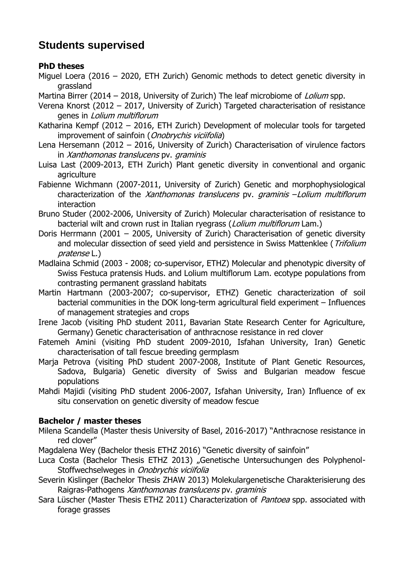# **Students supervised**

## **PhD theses**

- Miguel Loera (2016 2020, ETH Zurich) Genomic methods to detect genetic diversity in grassland
- Martina Birrer (2014 2018, University of Zurich) The leaf microbiome of *Lolium* spp.
- Verena Knorst (2012 2017, University of Zurich) Targeted characterisation of resistance genes in Lolium multiflorum
- Katharina Kempf (2012 2016, ETH Zurich) Development of molecular tools for targeted improvement of sainfoin (*Onobrychis viciifolia*)
- Lena Hersemann (2012 2016, University of Zurich) Characterisation of virulence factors in Xanthomonas translucens pv. graminis
- Luisa Last (2009-2013, ETH Zurich) Plant genetic diversity in conventional and organic agriculture
- Fabienne Wichmann (2007-2011, University of Zurich) Genetic and morphophysiological characterization of the Xanthomonas translucens pv. graminis -Lolium multiflorum interaction
- Bruno Studer (2002-2006, University of Zurich) Molecular characterisation of resistance to bacterial wilt and crown rust in Italian ryegrass (*Lolium multiflorum* Lam.)
- Doris Herrmann (2001 2005, University of Zurich) Characterisation of genetic diversity and molecular dissection of seed vield and persistence in Swiss Mattenklee (Trifolium pratense L.)
- Madlaina Schmid (2003 2008; co-supervisor, ETHZ) Molecular and phenotypic diversity of Swiss Festuca pratensis Huds. and Lolium multiflorum Lam. ecotype populations from contrasting permanent grassland habitats
- Martin Hartmann (2003-2007; co-supervisor, ETHZ) Genetic characterization of soil bacterial communities in the DOK long-term agricultural field experiment – Influences of management strategies and crops
- Irene Jacob (visiting PhD student 2011, Bavarian State Research Center for Agriculture, Germany) Genetic characterisation of anthracnose resistance in red clover
- Fatemeh Amini (visiting PhD student 2009-2010, Isfahan University, Iran) Genetic characterisation of tall fescue breeding germplasm
- Marja Petrova (visiting PhD student 2007-2008, Institute of Plant Genetic Resources, Sadova, Bulgaria) Genetic diversity of Swiss and Bulgarian meadow fescue populations
- Mahdi Majidi (visiting PhD student 2006-2007, Isfahan University, Iran) Influence of ex situ conservation on genetic diversity of meadow fescue

# **Bachelor / master theses**

- Milena Scandella (Master thesis University of Basel, 2016-2017) "Anthracnose resistance in red clover"
- Magdalena Wey (Bachelor thesis ETHZ 2016) "Genetic diversity of sainfoin"
- Luca Costa (Bachelor Thesis ETHZ 2013) "Genetische Untersuchungen des Polyphenol-Stoffwechselweges in Onobrychis viciifolia
- Severin Kislinger (Bachelor Thesis ZHAW 2013) Molekulargenetische Charakterisierung des Raigras-Pathogens Xanthomonas translucens pv. graminis
- Sara Lüscher (Master Thesis ETHZ 2011) Characterization of Pantoea spp. associated with forage grasses